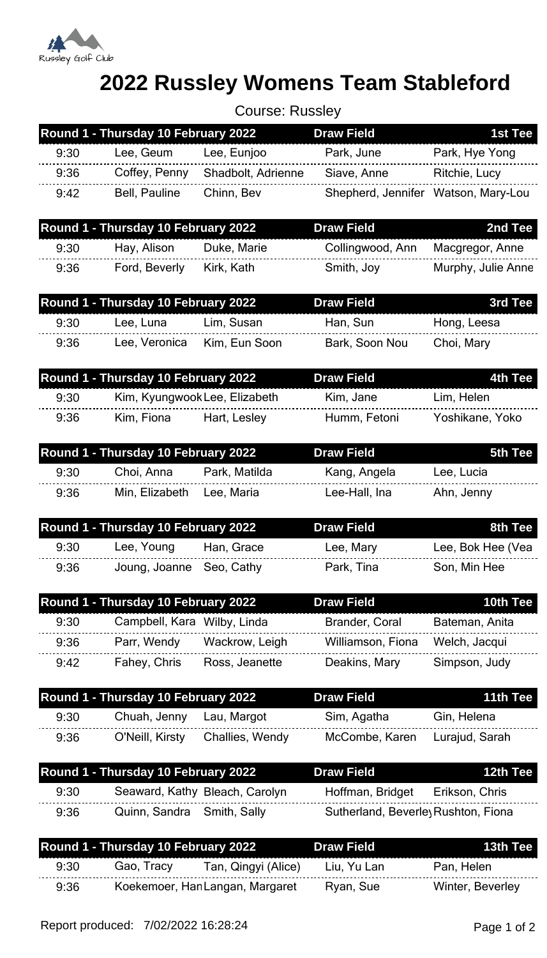

## **2022 Russley Womens Team Stableford**

Course: Russley

|      | Round 1 - Thursday 10 February 2022 |                                 | <b>Draw Field</b>                   | 1st Tee            |
|------|-------------------------------------|---------------------------------|-------------------------------------|--------------------|
| 9:30 | Lee, Geum                           | Lee, Eunjoo                     | Park, June                          | Park, Hye Yong     |
| 9:36 | Coffey, Penny                       | Shadbolt, Adrienne              | Siave, Anne                         | Ritchie, Lucy      |
| 9:42 | Bell, Pauline                       | Chinn, Bev                      | Shepherd, Jennifer Watson, Mary-Lou |                    |
|      | Round 1 - Thursday 10 February 2022 |                                 | <b>Draw Field</b>                   | 2nd Tee            |
| 9:30 | Hay, Alison                         | Duke, Marie                     | Collingwood, Ann                    | Macgregor, Anne    |
| 9:36 | Ford, Beverly                       | Kirk, Kath                      | Smith, Joy                          | Murphy, Julie Anne |
|      | Round 1 - Thursday 10 February 2022 |                                 | <b>Draw Field</b>                   | 3rd Tee            |
| 9:30 | Lee, Luna                           | Lim, Susan                      | Han, Sun                            | Hong, Leesa        |
| 9:36 | Lee, Veronica                       | Kim, Eun Soon                   | Bark, Soon Nou                      | Choi, Mary         |
|      | Round 1 - Thursday 10 February 2022 |                                 | <b>Draw Field</b>                   | 4th Tee            |
| 9:30 | Kim, Kyungwook Lee, Elizabeth       |                                 | Kim, Jane                           | Lim, Helen         |
| 9:36 | Kim, Fiona                          | Hart, Lesley                    | Humm, Fetoni                        | Yoshikane, Yoko    |
|      | Round 1 - Thursday 10 February 2022 |                                 | <b>Draw Field</b>                   | 5th Tee            |
| 9:30 | Choi, Anna                          | Park, Matilda                   | Kang, Angela                        | Lee, Lucia         |
| 9:36 | Min, Elizabeth                      | Lee, Maria                      | Lee-Hall, Ina                       | Ahn, Jenny         |
|      | Round 1 - Thursday 10 February 2022 |                                 | <b>Draw Field</b>                   | 8th Tee            |
| 9:30 | Lee, Young                          | Han, Grace                      | Lee, Mary                           | Lee, Bok Hee (Vea  |
| 9:36 | Joung, Joanne                       | Seo, Cathy                      | Park, Tina                          | Son, Min Hee       |
|      | Round 1 - Thursday 10 February 2022 |                                 | <b>Draw Field</b>                   | 10th Tee           |
| 9:30 | Campbell, Kara Wilby, Linda         |                                 | Brander, Coral                      | Bateman, Anita     |
| 9:36 | Parr, Wendy                         | Wackrow, Leigh                  | Williamson, Fiona                   | Welch, Jacqui      |
| 9:42 | Fahey, Chris                        | Ross, Jeanette                  | Deakins, Mary                       | Simpson, Judy      |
|      | Round 1 - Thursday 10 February 2022 |                                 | <b>Draw Field</b>                   | 11th Tee           |
| 9:30 | Chuah, Jenny                        | Lau, Margot                     | Sim, Agatha                         | Gin, Helena        |
| 9:36 | O'Neill, Kirsty                     | Challies, Wendy                 | McCombe, Karen                      | Lurajud, Sarah     |
|      | Round 1 - Thursday 10 February 2022 |                                 | <b>Draw Field</b>                   | 12th Tee           |
| 9:30 |                                     | Seaward, Kathy Bleach, Carolyn  | Hoffman, Bridget                    | Erikson, Chris     |
| 9:36 | Quinn, Sandra                       | Smith, Sally                    | Sutherland, Beverley Rushton, Fiona |                    |
|      | Round 1 - Thursday 10 February 2022 |                                 | <b>Draw Field</b>                   | 13th Tee           |
| 9:30 | Gao, Tracy                          | Tan, Qingyi (Alice)             | Liu, Yu Lan                         | Pan, Helen         |
| 9:36 |                                     | Koekemoer, Han Langan, Margaret | Ryan, Sue                           | Winter, Beverley   |